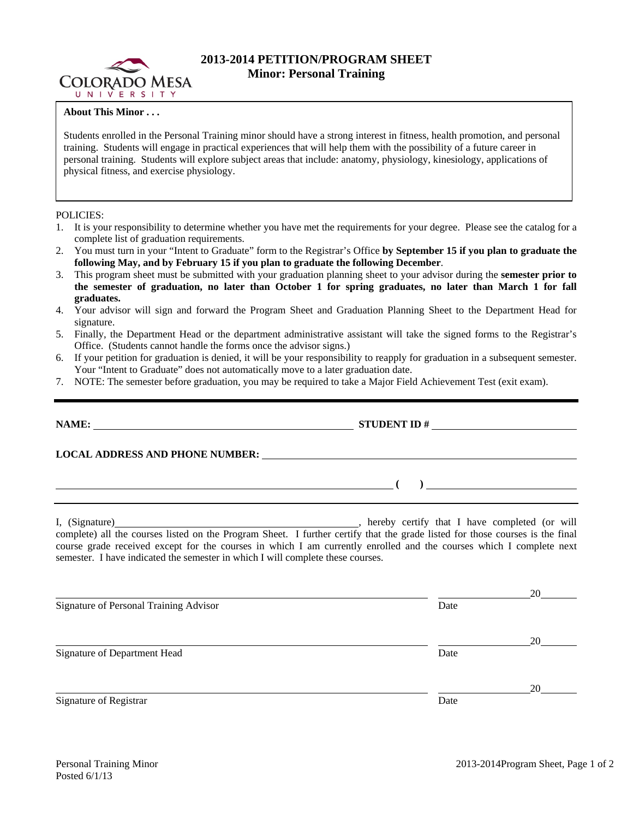

## **2013-2014 PETITION/PROGRAM SHEET Minor: Personal Training**

## **About This Minor . . .**

Students enrolled in the Personal Training minor should have a strong interest in fitness, health promotion, and personal training. Students will engage in practical experiences that will help them with the possibility of a future career in personal training. Students will explore subject areas that include: anatomy, physiology, kinesiology, applications of physical fitness, and exercise physiology.

## POLICIES:

- 1. It is your responsibility to determine whether you have met the requirements for your degree. Please see the catalog for a complete list of graduation requirements.
- 2. You must turn in your "Intent to Graduate" form to the Registrar's Office **by September 15 if you plan to graduate the following May, and by February 15 if you plan to graduate the following December**.
- 3. This program sheet must be submitted with your graduation planning sheet to your advisor during the **semester prior to the semester of graduation, no later than October 1 for spring graduates, no later than March 1 for fall graduates.**
- 4. Your advisor will sign and forward the Program Sheet and Graduation Planning Sheet to the Department Head for signature.
- 5. Finally, the Department Head or the department administrative assistant will take the signed forms to the Registrar's Office. (Students cannot handle the forms once the advisor signs.)
- 6. If your petition for graduation is denied, it will be your responsibility to reapply for graduation in a subsequent semester. Your "Intent to Graduate" does not automatically move to a later graduation date.
- 7. NOTE: The semester before graduation, you may be required to take a Major Field Achievement Test (exit exam).

|                                                                                 | STUDENT ID $\#$                                                                                                                                                                                                                                                                                                           |    |
|---------------------------------------------------------------------------------|---------------------------------------------------------------------------------------------------------------------------------------------------------------------------------------------------------------------------------------------------------------------------------------------------------------------------|----|
|                                                                                 |                                                                                                                                                                                                                                                                                                                           |    |
|                                                                                 | $\overline{a}$ ( ) and the contract of $\overline{a}$ ( ) and the contract of $\overline{a}$                                                                                                                                                                                                                              |    |
| semester. I have indicated the semester in which I will complete these courses. | I, (Signature) (1) (Signature) (1) (Signature) (1) (Signature) (1) (Signature) all the courses listed on the Program Sheet. I further certify that the grade listed for those courses is the final<br>course grade received except for the courses in which I am currently enrolled and the courses which I complete next |    |
|                                                                                 |                                                                                                                                                                                                                                                                                                                           | 20 |
| Signature of Personal Training Advisor                                          | Date                                                                                                                                                                                                                                                                                                                      |    |
|                                                                                 |                                                                                                                                                                                                                                                                                                                           | 20 |
| <b>Signature of Department Head</b>                                             | Date                                                                                                                                                                                                                                                                                                                      |    |
|                                                                                 |                                                                                                                                                                                                                                                                                                                           | 20 |
| Signature of Registrar                                                          | Date                                                                                                                                                                                                                                                                                                                      |    |